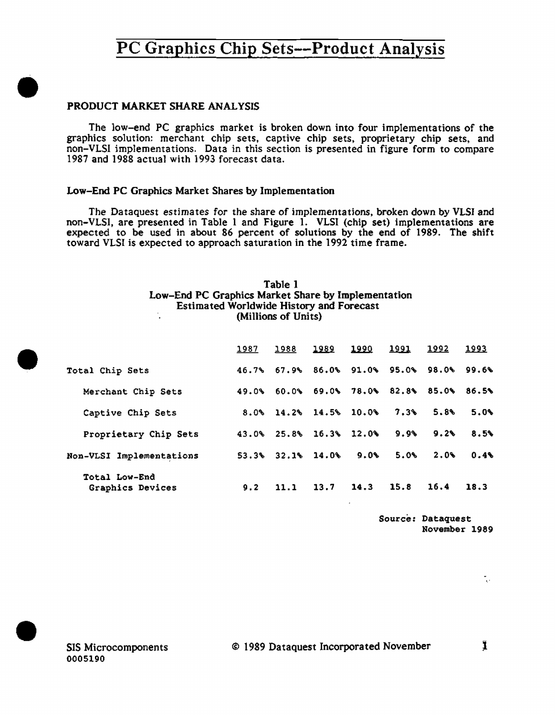### PRODUCT MARKET SHARE ANALYSIS

•

•

•

The low-end PC graphics market is broken down into four implementations of the graphics solution: merchant chip sets, captive chip sets, proprietary chip sets, and non-VLSI implementations. Data in this section is presented in figure form to compare 1987 and 1988 actual with 1993 forecast data.

### Low-End PC Graphics Market Shares by Implementation

The Dataquest estimates for the share of implementations, broken down by VLSI and non-VLSI, are presented in Table 1 and Figure 1. VLSI (chip set) implementations are expected to be used in about 86 percent of solutions by the end of 1989. The shift toward VLSI is expected to approach saturation in the 1992 time frame.

### Table 1 Low-End PC Graphics Market Share by Implementation Estimated Worldwide History and Forecast (Millions of Units)

|                                   | 1987 | 1988                         | <u> 1989</u> | 1990                                      | <u> 1991 </u> | 1992 | 1993 |
|-----------------------------------|------|------------------------------|--------------|-------------------------------------------|---------------|------|------|
| Total Chip Sets                   |      |                              |              | 46.7% 67.9% 86.0% 91.0% 95.0% 98.0% 99.6% |               |      |      |
| Merchant Chip Sets                |      |                              |              | 49.0% 60.0% 69.0% 78.0% 82.8% 85.0% 86.5% |               |      |      |
| Captive Chip Sets                 |      | $8.0\%$ 14.2\% 14.5\% 10.0\% |              |                                           | 7.3%          | 5.8% | 5.0% |
| Proprietary Chip Sets             |      | 43.0% 25.8% 16.3% 12.0%      |              |                                           | 9.9%          | 9.2% | 8.5% |
| Non-VLSI Implementations          |      | $53.3\%$ $32.1\%$ $14.0\%$   |              | 9.0%                                      | 5.0%          | 2.0% | 0.46 |
| Total Low-End<br>Graphics Devices | 9.2  | 11.1                         | 13.7         | $14.3$ 15.8                               |               | 16.4 | 18.3 |

Source: Dataquest November 1989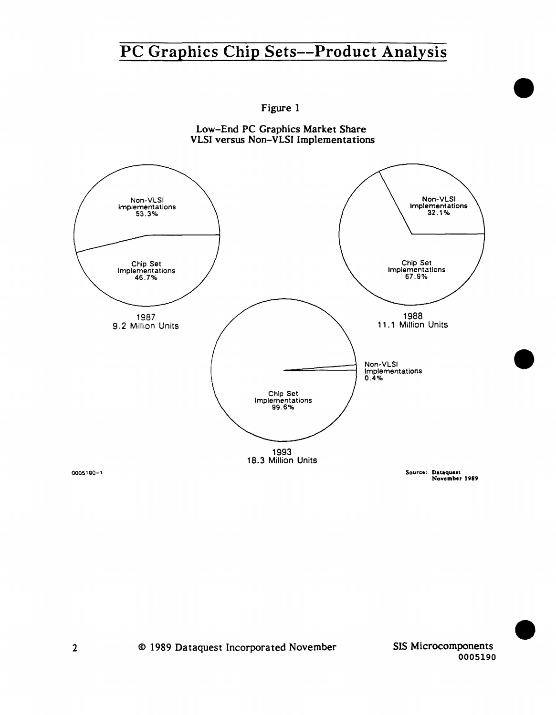

Figure 1 Low-End PC Graphics Market Share

0005190

•

•

•

2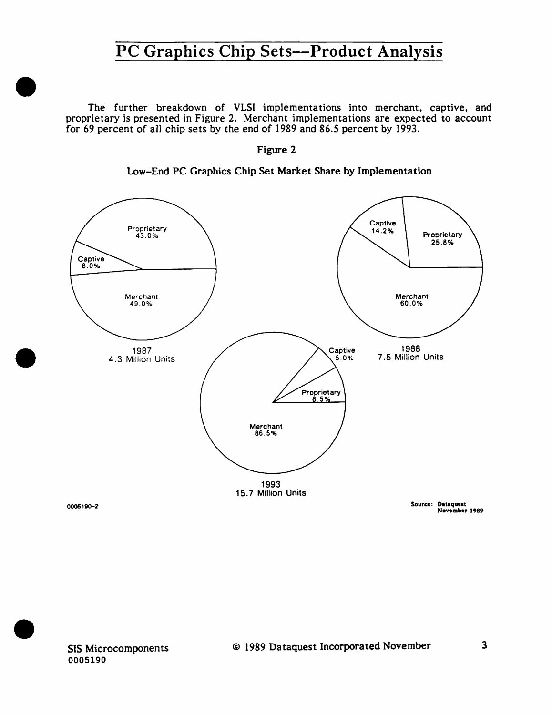The further breakdown of VLSI implementations into merchant, captive, and proprietary is presented in Figure 2. Merchant implementations are expected to account for 69 percent of all chip sets by the end of 1989 and 86.5 percent by 1993.



Low-End PC Graphics Chip Set Market Share by Implementation



•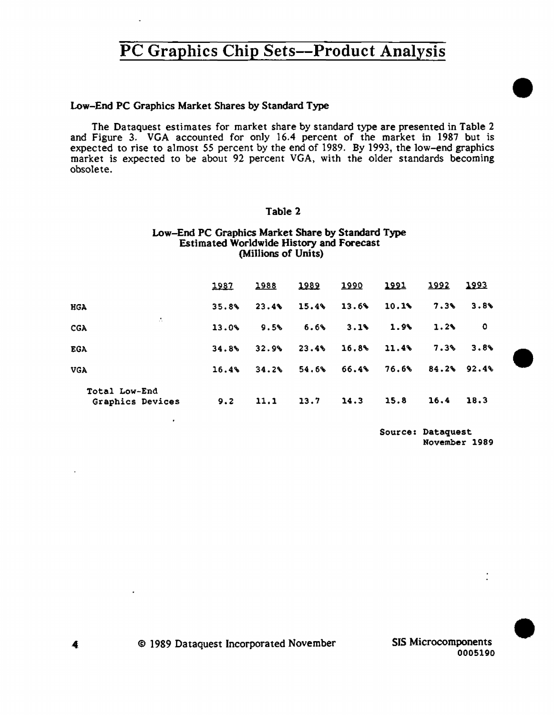### Low-End PC Graphics Market Shares by Standard Type

The Dataquest estimates for market share by standard type are presented in Table 2 and Figure 3. VGA accounted for only 16.4 percent of the market in 1987 but is expected to rise to almost *55* percent by the end of 1989. By 1993, the low-end graphics market is expected to be about 92 percent VGA, with the older standards becoming obsolete.

## Table 2

#### Low-End PC Graphics Market Share by Standard Type Estimated Worldwide History and Forecast (Millions of Units)

|                                   | 1987  | 1988  | <u> 1989</u> | <u> 1990</u>  | <u> 1991 </u> | <u> 1992 </u> | 1993 |
|-----------------------------------|-------|-------|--------------|---------------|---------------|---------------|------|
| HGA                               | 35.8% | 23.4% | 15.4%        | 13.6%         | 10.1%         | $7.3\%$       | 3.8  |
| - 11<br>CGA                       | 13.0% | 9.5%  | $6.6\%$      | 3.1%          | 1.9%          | 1.2%          | 0    |
| <b>EGA</b>                        | 34.8% | 32.9% | 23.4%        | $16.8$ $11.4$ |               | 7.3%          | 3.8% |
| <b>VGA</b>                        | 16.4% | 34.2% | 54.6%        | 66.4%         | 76.6%         | $84.2%$ 92.4% |      |
| Total Low-End<br>Graphics Devices | 9.2   | 11.1  | 13.7         | 14.3          | 15.8          | 16.4          | 18.3 |

Source: Dataquest November 1989 •

•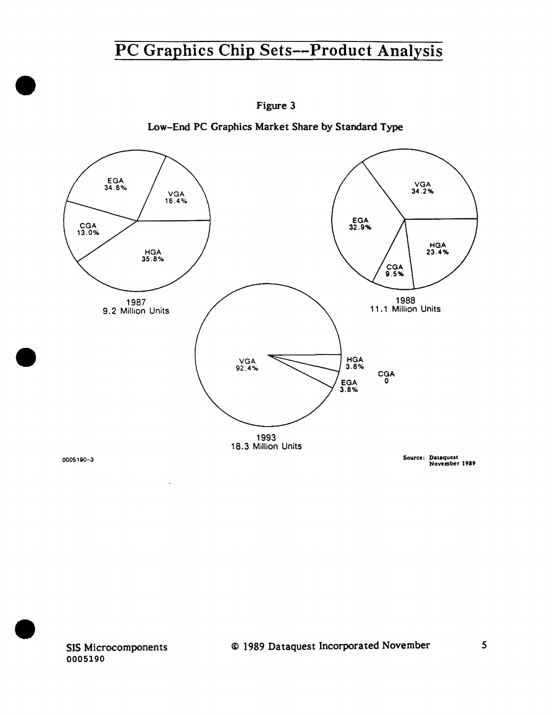

Figure 3

Low-End PC Graphics Market Share by Standard Type

November 1989

SIS Microcomponents 0005190

•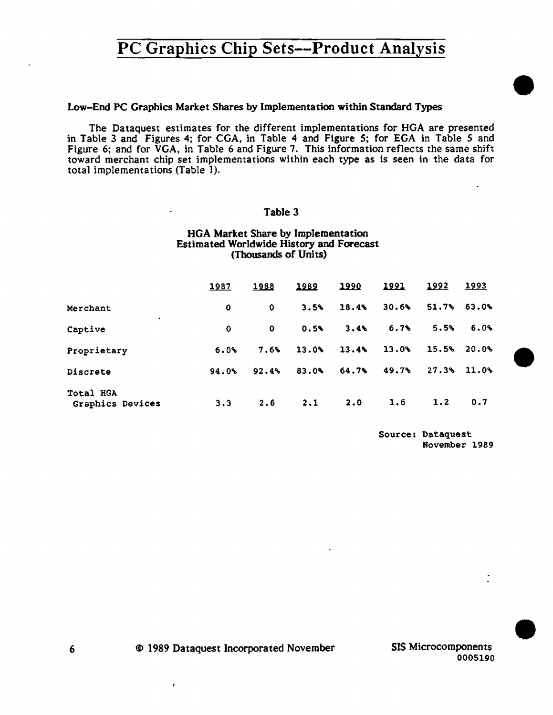#### Low-End PC Graphics Market Shares by Implementation within Standard Types

The Dataquest estimates for the different implementations for HGA are presented in Tab1e 3 and Figures 4; for CGA, in Tab1e 4 and Figure S; for EGA in Table *5* and Figure 6; and for VGA, in Table 6 and Figure 7. This information reflects the same shift toward merchant chip set implementations within each type as is seen in the data for total implementations (Table 1).

### Table 3

#### HGA Market Share by Implementation Estimated Worldwide History and Forecast (Thousands of Units)

|                                      | <u>1987</u> | 1988  | 1989  | 1990  | 1991  | 1992            | <u> 1993 </u>  |
|--------------------------------------|-------------|-------|-------|-------|-------|-----------------|----------------|
| Merchant                             | 0           | 0.    | 3.5%  | 18.4% | 30.6% | $51.7%$ $63.0%$ |                |
| ٠<br>Captive                         | 0           | 0.    | 0.5%  | 3.4%  | 6.7%  | 5.5%            | 6.0%           |
| Proprietary                          | 6.0%        | 7.6%  | 13.0% | 13.4% | 13.0% |                 | $15.5%$ 20.0%  |
| Discrete                             | 94.0%       | 92.4% | 83.0% | 64.7% | 49.7% |                 | $27.3\%$ 11.0% |
| Total HGA<br><b>Graphics Devices</b> | 3.3         | 2.6   | 2.1   | 2.0   | 1.6   | 1.2             | 0.7            |

Source: Dataquest November 1989 •

•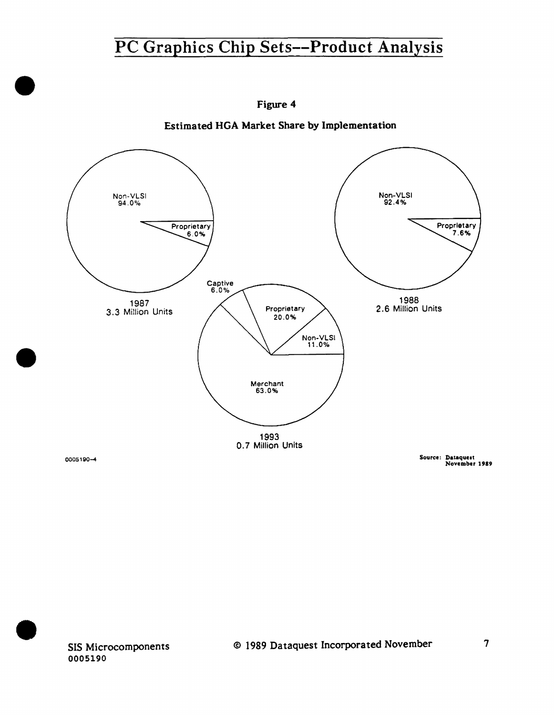

Figure 4

Estimated HGA Market Share by Implementation

SIS Microcomponents 0005190

•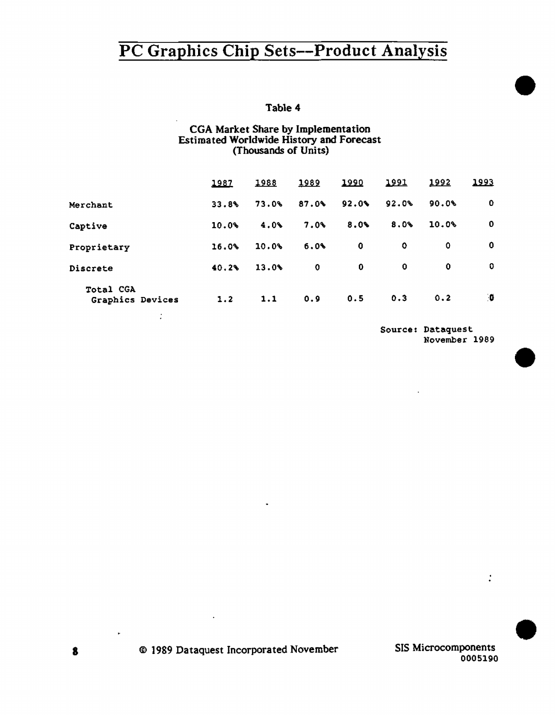## Table 4

## CGA Market Share by Implementation Estimated Worldwide History and Forecast (Thousands of Units)

|                               | 1987     | 1988  | 1989        | 1990        | 1991  | 1992         | 1993        |
|-------------------------------|----------|-------|-------------|-------------|-------|--------------|-------------|
| Merchant                      | 33.8%    | 73.0% | 87.0%       | $92.0\%$    | 92.0% | 90.0%        | 0           |
| Captive                       | $10.0\%$ | 4.0%  | 7.0%        | 8.0%        | 8.0%  | 10.0%        | $\mathbf 0$ |
| Proprietary                   | 16.0%    | 10.0% | 6.0%        | $\mathbf 0$ | 0     | $\mathbf{o}$ | 0           |
| Discrete                      | 40.2%    | 13.0% | $\mathbf 0$ | 0           | 0     | 0            | 0           |
| Total CGA<br>Graphics Devices | 1.2      | 1.1   | 0.9         | 0.5         | 0.3   | 0.2          | ۰Ű          |
|                               |          |       |             |             |       |              |             |

Source: Dataquest November 1989 •

•

•

 $\frac{1}{2}$ 

SIS Microcomponents 0005190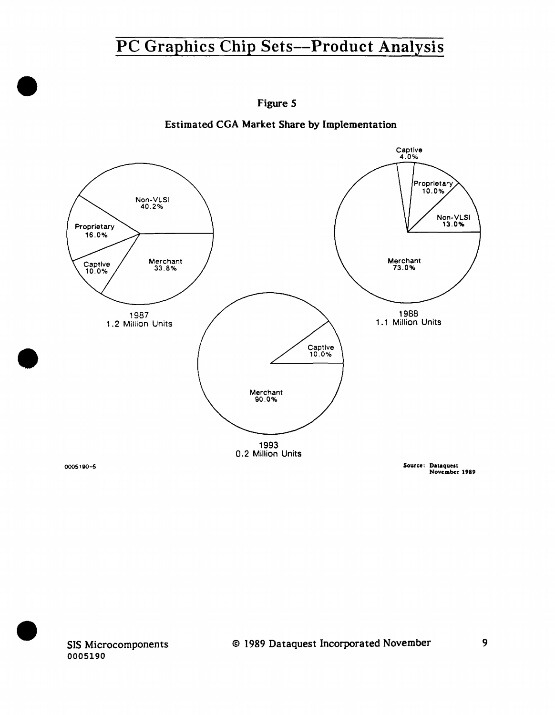

Figure S

Estimated CGA Market Share by Implementation

•

•

SIS Microcomponents 0005190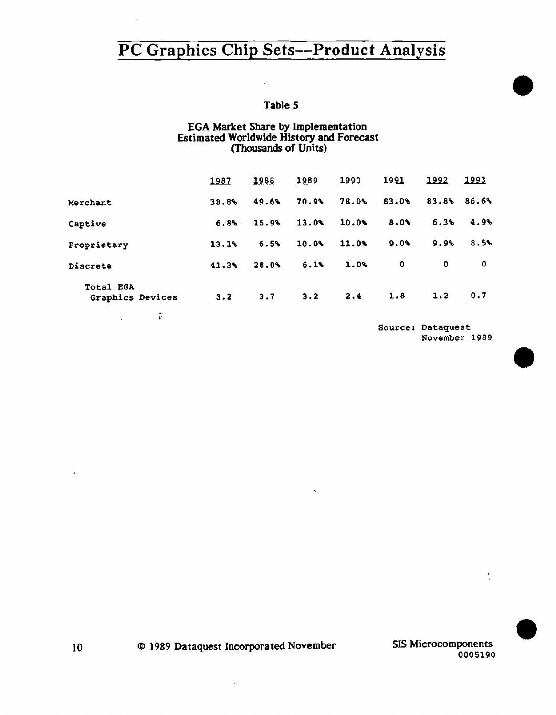## Table *S*

### EGA Market Share by Implementation Estimated Worldwide History and Forecast (Thousands of Units)

|                               | 1987  | 1988  | 1989  | 1990  | 1991  | 1992        | <u> 1993</u> |
|-------------------------------|-------|-------|-------|-------|-------|-------------|--------------|
| Merchant                      | 38.8% | 49.6% | 70.9% | 78.0% | 83.0% | 83.8%       | 86.6%        |
| Captive                       | 6.8%  | 15.9% | 13.0% | 10.0% | 8.0   | 6.3%        | 4.9%         |
| Proprietary                   | 13.1% | 6.5%  | 10.0% | 11.0  | 9.0%  | 9.9%        | 8.5%         |
| Discrete                      | 41.3% | 28.0% | 6.1%  | 1.0%  | 0     | $\mathbf 0$ | 0            |
| Total EGA<br>Graphics Devices | 3.2   | 3.7   | 3.2   | 2.4   | 1.8   | 1.2         | 0.7          |
| ĩ.<br>$\bullet$               |       |       |       |       |       |             |              |

Source: Dataquest November 1989 •

•

•

SIS Microcomponents 0005190

10 © 1989 Dataquest Incorporated November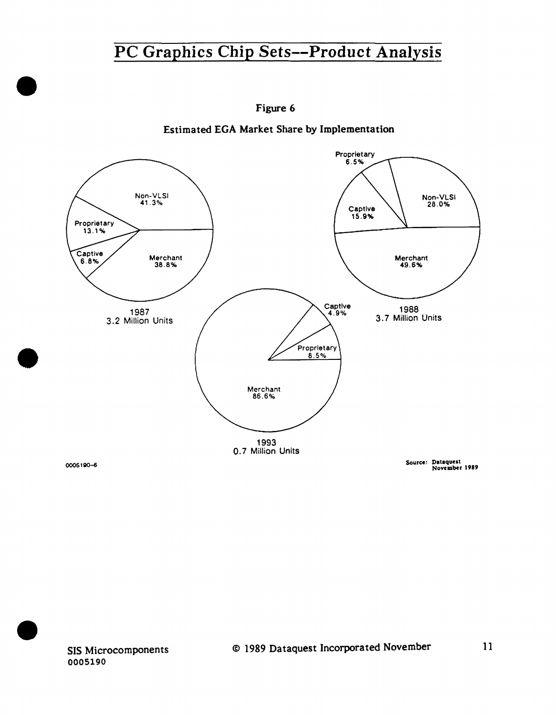

Figure 6

Estimated EGA Market Share by Implementation

SIS Microcomponents 0005190

•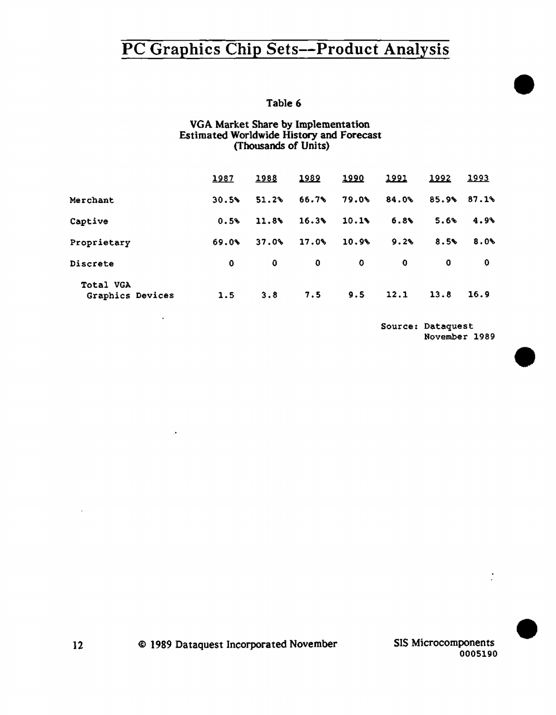Table 6

### VGA Market Share by Implementation Estimated Worldwide History and Forecast (Thousands of Units)

|                                      | 1987  | 1988  | 1989  | 1990  | 1991  | 1992  | <u> 1993</u> |
|--------------------------------------|-------|-------|-------|-------|-------|-------|--------------|
| Merchant                             | 30.5% | 51.2% | 66.7% | 79.0% | 84.0% | 85.9% | 87.1%        |
| Captive                              | 0.5%  | 11.8% | 16.3% | 10.1% | 6.8%  | 5.6%  | 4.9%         |
| Proprietary                          | 69.0% | 37.0% | 17.0% | 10.9% | 9.2%  | 8.5%  | 8.0%         |
| Discrete                             | 0     | 0     | 0     | 0     | 0     | 0     | 0            |
| <b>Total VGA</b><br>Graphics Devices | 1.5   | 3.8   | 7.5   | 9.5   | 12.1  | 13.8  | 16.9         |

Source: Dataquest November 1989 •

•

•

SIS Microcomponents 0005190

ÿ.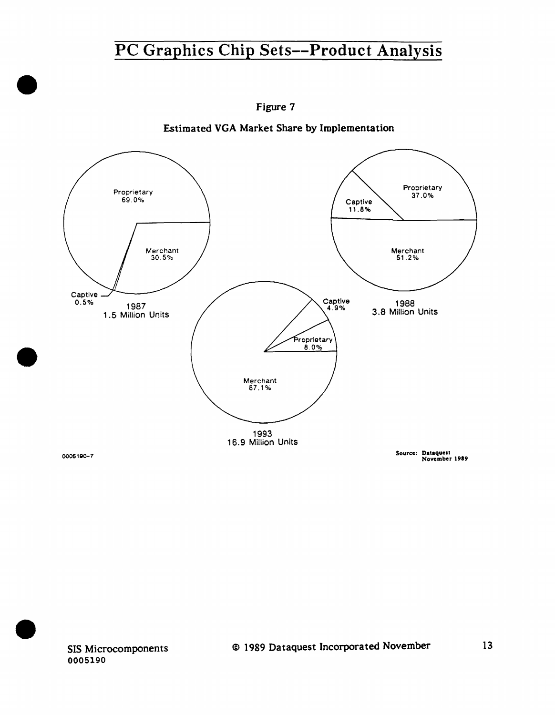

Estimated VGA Market Share by Implementation





•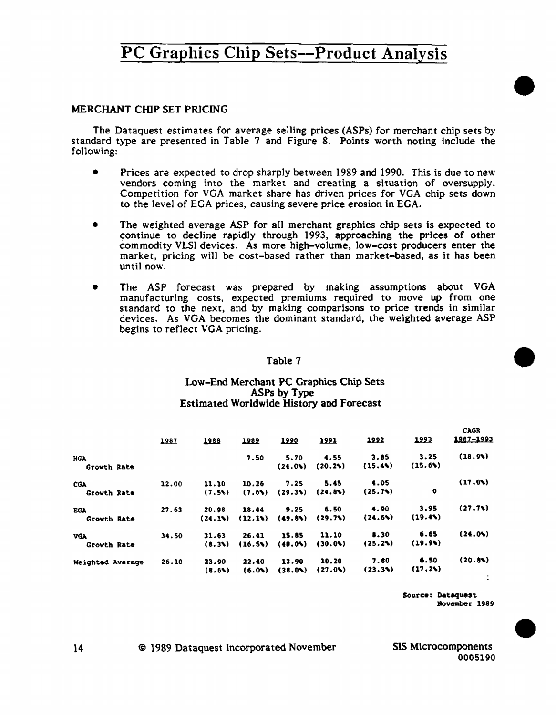### MERCHANT CHIP SET PRICING

The Dataquest estimates for average se11ing prices (ASPs) for merchant chip sets by standard type are presented in Table 7 and Figure 8. Points worth noting include the following:

- Prices are expected to drop sharply between 1989 and 1990. This is due to new vendors coming into the market and creating a situation of oversupply. Competition for VGA market share has driven prices for VGA chip sets down to the level of EGA prices, causing severe price erosion in EGA.
- The weighted average ASP for all merchant graphics chip sets is expected to continue to decline rapidly through 1993, approaching the prices of other commodity VLSI devices. As more high-volume, low-cost producers enter the market, pricing wiU be cost-based rather than market-based, as it has been until now.
- The ASP forecast was prepared by making assumptions about VGA manufacturing costs, expected premiums required to move up from one standard to the next, and by making comparisons to price trends in similar devices. As VGA becomes the dominant standard, the weighted average ASP begins to reflect VGA pricing.

#### Table 7

#### Low-End Merchant PC Graphics Chip Sets ASPs by Type Estimated Worldwide History and Forecast

|                  | 1987  | 1988   | 1989    | 1990   | 1991    | 1992    | 1993     | <b>CAGR</b><br>1987-1993 |
|------------------|-------|--------|---------|--------|---------|---------|----------|--------------------------|
| HGA              |       |        | 7.50    | 5.70   | 4.55    | 3.85    | 3.25     | (18.9)                   |
| Growth Rate      |       |        |         | (24.0) | (20.2)  | (15.44) | (15.6)   |                          |
| <b>CGA</b>       | 12.00 | 11.10  | 10.26   | 7.25   | 5.45    | 4.05    |          | (17.0)                   |
| Growth Rate      |       | (7.5)  | (7.6)   | (29.3) | (24.8)  | (25.7)  | o        |                          |
| <b>EGA</b>       | 27.63 | 20.98  | 18.44   | 9.25   | 6.50    | 4.90    | 3.95     | (27.7)                   |
| Growth Rate      |       | (24.1) | (12.13) | (49.8) | (29.7)  | (24.6)  | (19.4)   |                          |
| <b>VGA</b>       | 34.50 | 31.63  | 26.41   | 15.85  | 11.10   | 8.30    | 6.65     | (24.0)                   |
| Growth Rate      |       | (8.3)  | (16.5)  | (40.0) | (30.04) | (25.2)  | (19.9)   |                          |
| Weighted Average | 26.10 | 23.90  | 22.40   | 13.90  | 10.20   | 7.60    | 6.50     | (20.8)                   |
|                  |       | (8.6)  | (6.01)  | (38.0) | (27.0)  | (23.34) | (17, 24) |                          |

Source: Dataquest November 1989 •

•

•

14 © 1989 Dataquest Incorporated November SIS Microcomponents

0005190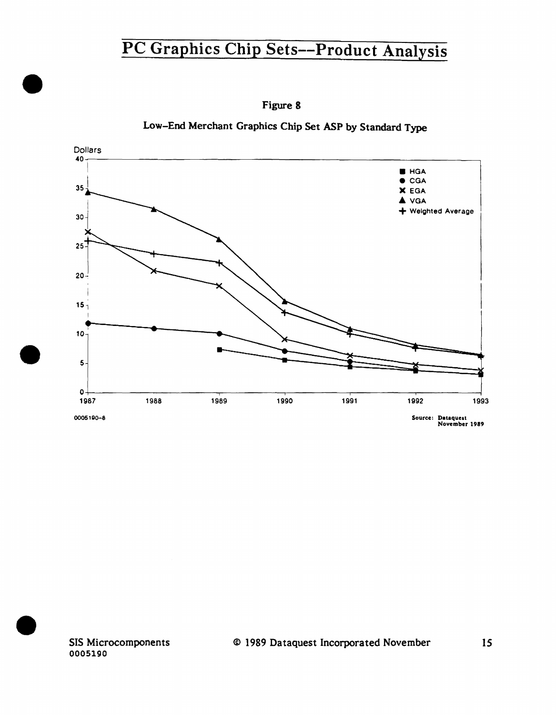

Figure **8** 

Low-End Merchant Graphics Chip Set ASP by Standard Type

SIS Microcomponents 0005190

•

•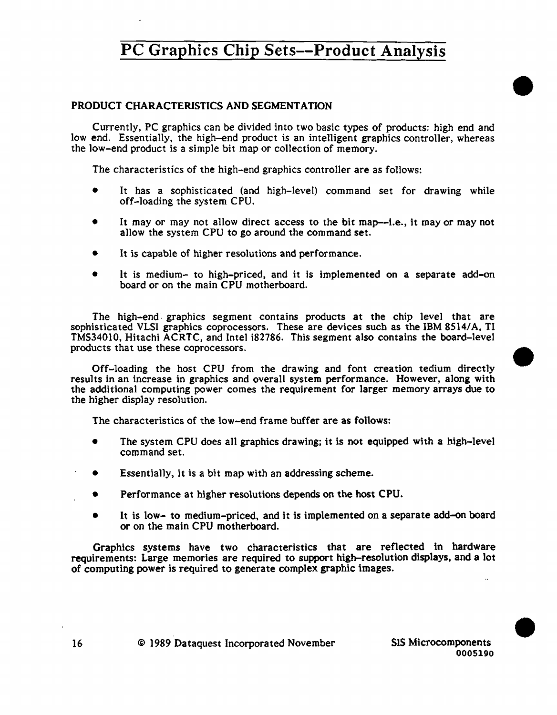## PRODUCT CHARACTERISTICS AND SEGMENTATION

Currently, PC graphics can be divided into two basic types of products: high end and low end. Essentially, the high-end product is an intelligent graphics controller, whereas the low-end product is a simple bit map or co11ection of memory.

The characteristics of the high-end graphics controller are as follows:

- It has a sophisticated (and high-level) command set for drawing while off-loading the system CPU.
- It may or may not allow direct access to the bit map—i.e., it may or may not allow the system CPU to go around the command set.
- It is capable of higher resolutions and performance.
- It is medium- to high-priced, and it is implemented on a separate add-on board or on the main CPU motherboard.

The high-end. graphics segment contains products at the chip level that are sophisticated VLSI graphics coprocessors. These are devices such as the IBM 8514/A, TI TMS34010, Hitachi ACRTC, and Intel i82786. This segment also contains the board-level products that use these coprocessors.

Off-loading the host CPU from the drawing and font creation tedium directly results in an increase in graphics and overall system performance. However, along with the additional computing power comes the requirement for larger memory arrays due to the higher display resolution.

The characteristics of the low-end frame buffer are as follows:

- The system CPU does all graphics drawing; it is not equipped with a high-level command set.
- Essentially, it is a bit map with an addressing scheme.
- **•** Performance at higher resolutions depends on the host CPU.
- It is low- to medium-priced, and it is implemented on a separate add-on board or on the main CPU motherboard.

Graphics systems have two characteristics that are reflected in hardware requirements: Large memories are required to support high-resolution displays, and a lot of computing power is required to generate complex graphic images.

•

•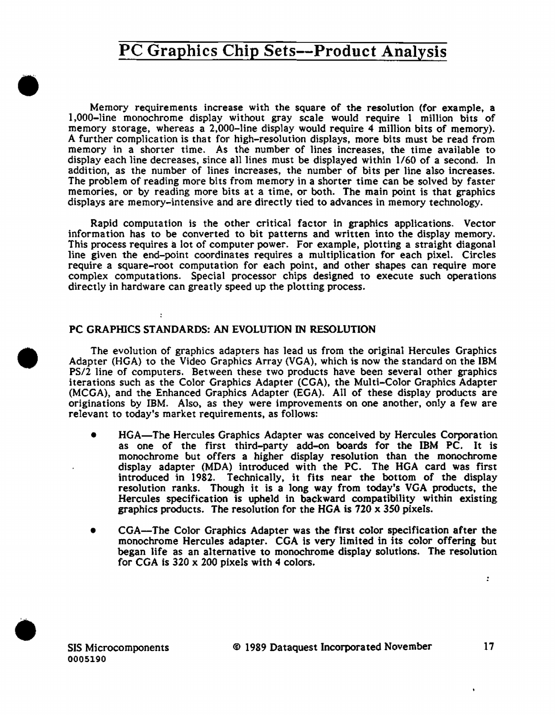Memory requirements increase with the square of the resolution (for example. a l,000-1ine monochrome display without gray scale would require 1 million bits of memory storage, whereas a 2,000-line display would require 4 million bits of memory). A further complication is that for high-resolution displays, more bits must be read from memory in a shorter time. As the number of lines increases, the time available to display each line decreases, since all lines must be displayed within 1/60 of a second. In addition, as the number of lines increases, the number of bits per line also increases. The problem of reading more bits from memory in a shorter time can be solved by faster memories, or by reading more bits at a time, or both. The main point is that graphics displays are memory-intensive and are directly tied to advances in memory technology.

Rapid computation is the other critical factor in graphics applications. Vector information has to be converted to bit patterns and written into the display memory. This process requires a lot of computer power. For example, plotting a straight diagonal line given the end-point coordinates requires a multiplication for each pixel. Circles require a square-root computation for each point, and other shapes can require more complex computations. Special processor chips designed to execute such operations directly in hardware can greatly speed up the plotting process.

### PC GRAPHICS STANDARDS: AN EVOLUTION IN RESOLUTION

The evolution of graphics adapters has lead us from the original Hercules Graphics Adapter (HGA) to the Video Graphics Array (VGA). which is now the standard on the IBM PS/2 line of computers. Between these two products have been several other graphics iterations such as the Color Graphics Adapter (CGA). the Multi-Color Graphics Adapter (MCGA). and the Enhanced Graphics Adapter (EGA). All of these display products are originations by IBM. Also. as they were improvements on one another, only a few are relevant to today's market requirements, as follows:

- HGA-The Hercules Graphics Adapter was conceived by Hercules Corporation as one of the first third-party add-on boards for the IBM PC. It is monochrome but offers a higher display resolution than the monochrome display adapter (MDA) introduced with the PC. The HGA card was first introduced in 1982. Technically, it fits near the bottom of the display resolution ranks. Though it is a long way from today's VGA products. the Hercules specification is upheld in backward compatibility within existing graphics products. The resolution for the HGA is 720 x *350* pixels.
- CGA-The Color Graphics Adapter was the first color specification after the monochrome Hercules adapter. CGA is very limited in its color offering but began life as an alternative to monochrome display solutions. The resolution for CGA is  $320 \times 200$  pixels with 4 colors.



•

•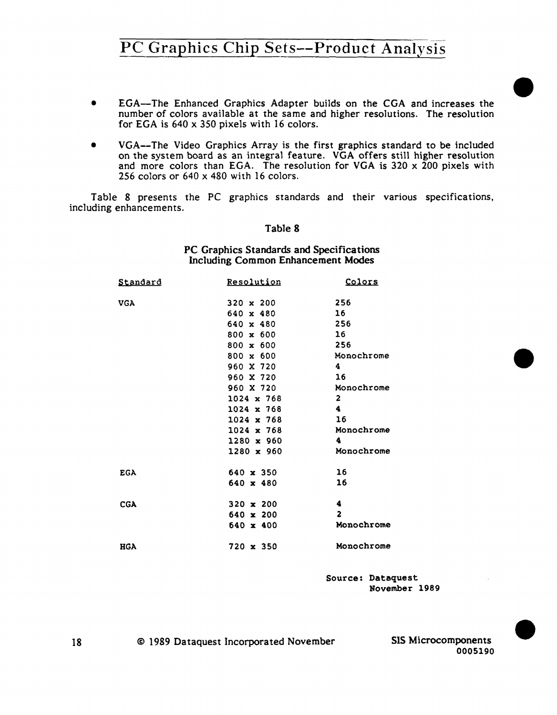- EGA-The Enhanced Graphics Adapter builds on the CGA and increases the number of colors available at the same and higher resolutions. The resolution for EGA is 640 x 350 pixels with 16 colors.
- VGA--The Video Graphics Array is the first graphics standard to be included on the system board as an integral feature. VGA offers still higher resolution and more colors than EGA. The resolution for VGA is 320 x 200 pixels with 256 colors or 640 x 480 with 16 colors.

Table 8 presents the PC graphics standards and their various specifications, including enhancements.

#### Table 8

PC Graphics Standards and Specifications Including Common Enhancement Modes

| Standard   | Resolution        | Colors          |
|------------|-------------------|-----------------|
| <b>VGA</b> | 320 $x$ 200       | 256             |
|            | $640 \times 480$  | 16              |
|            | $640 \times 480$  | 256             |
|            | $800 \times 600$  | 16 <sup>2</sup> |
|            | $800 \times 600$  | 256             |
|            | $800 \times 600$  | Monochrome      |
|            | 960 X 720         | 4               |
|            | 960 X 720         | 16              |
|            | 960 X 720         | Monochrome      |
|            | $1024 \times 768$ | $\overline{2}$  |
|            | $1024 \times 768$ | 4               |
|            | $1024 \times 768$ | 16              |
|            | $1024 \times 768$ | Monochrome      |
|            | 1280 x 960        | 4               |
|            | $1280 \times 960$ | Monochrome      |
| <b>EGA</b> | 640 x 350         | 16              |
|            | $640 \times 480$  | 16              |
| <b>CGA</b> | 320 $\times$ 200  | 4               |
|            | $640 \times 200$  | 2               |
|            | $640 \times 400$  | Monochrome      |
| <b>HGA</b> | 720 x 350         | Monochrome      |

Source: Dataquest November 1989

0005190

•

•